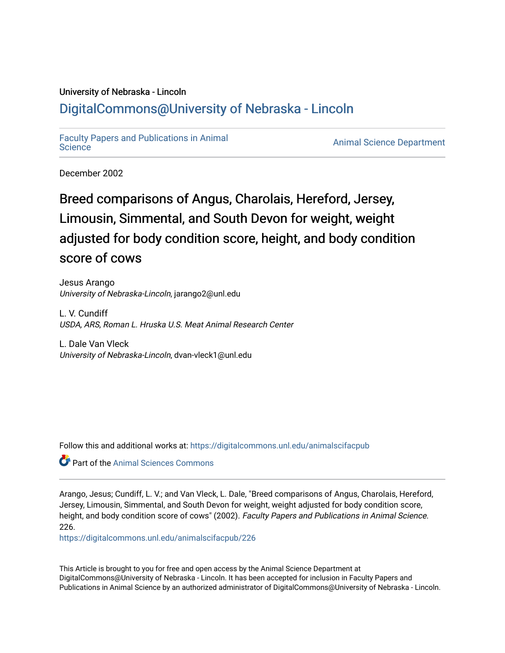# University of Nebraska - Lincoln [DigitalCommons@University of Nebraska - Lincoln](https://digitalcommons.unl.edu/)

[Faculty Papers and Publications in Animal](https://digitalcommons.unl.edu/animalscifacpub) 

**Animal [Science](https://digitalcommons.unl.edu/animalscifacpub) Department** 

December 2002

# Breed comparisons of Angus, Charolais, Hereford, Jersey, Limousin, Simmental, and South Devon for weight, weight adjusted for body condition score, height, and body condition score of cows

Jesus Arango University of Nebraska-Lincoln, jarango2@unl.edu

L. V. Cundiff USDA, ARS, Roman L. Hruska U.S. Meat Animal Research Center

L. Dale Van Vleck University of Nebraska-Lincoln, dvan-vleck1@unl.edu

Follow this and additional works at: [https://digitalcommons.unl.edu/animalscifacpub](https://digitalcommons.unl.edu/animalscifacpub?utm_source=digitalcommons.unl.edu%2Fanimalscifacpub%2F226&utm_medium=PDF&utm_campaign=PDFCoverPages)

**C** Part of the Animal Sciences Commons

Arango, Jesus; Cundiff, L. V.; and Van Vleck, L. Dale, "Breed comparisons of Angus, Charolais, Hereford, Jersey, Limousin, Simmental, and South Devon for weight, weight adjusted for body condition score, height, and body condition score of cows" (2002). Faculty Papers and Publications in Animal Science. 226.

[https://digitalcommons.unl.edu/animalscifacpub/226](https://digitalcommons.unl.edu/animalscifacpub/226?utm_source=digitalcommons.unl.edu%2Fanimalscifacpub%2F226&utm_medium=PDF&utm_campaign=PDFCoverPages)

This Article is brought to you for free and open access by the Animal Science Department at DigitalCommons@University of Nebraska - Lincoln. It has been accepted for inclusion in Faculty Papers and Publications in Animal Science by an authorized administrator of DigitalCommons@University of Nebraska - Lincoln.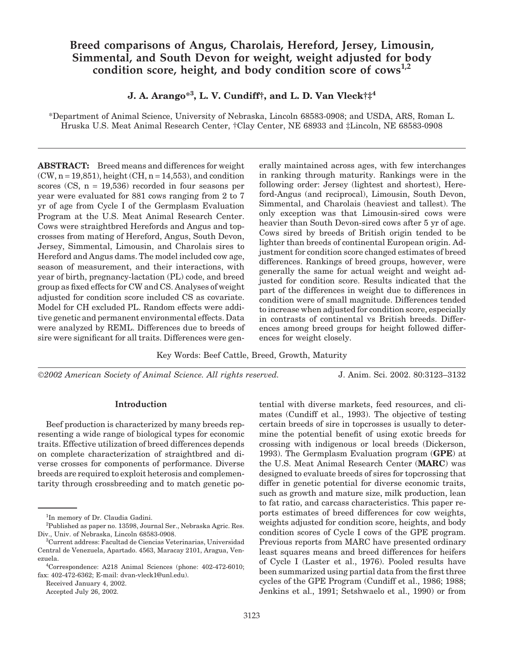# **Breed comparisons of Angus, Charolais, Hereford, Jersey, Limousin, Simmental, and South Devon for weight, weight adjusted for body** condition score, height, and body condition score of cows<sup>1,2</sup>

**J. A. Arango\*<sup>3</sup> , L. V. Cundiff†, and L. D. Van Vleck†‡<sup>4</sup>**

\*Department of Animal Science, University of Nebraska, Lincoln 68583-0908; and USDA, ARS, Roman L. Hruska U.S. Meat Animal Research Center, †Clay Center, NE 68933 and ‡Lincoln, NE 68583-0908

**ABSTRACT:** Breed means and differences for weight  $(CW, n = 19,851)$ , height  $(CH, n = 14,553)$ , and condition scores  $(CS, n = 19,536)$  recorded in four seasons per year were evaluated for 881 cows ranging from 2 to 7 yr of age from Cycle I of the Germplasm Evaluation Program at the U.S. Meat Animal Research Center. Cows were straightbred Herefords and Angus and topcrosses from mating of Hereford, Angus, South Devon, Jersey, Simmental, Limousin, and Charolais sires to Hereford and Angus dams. The model included cow age, season of measurement, and their interactions, with year of birth, pregnancy-lactation (PL) code, and breed group as fixed effects for CW and CS. Analyses of weight adjusted for condition score included CS as covariate. Model for CH excluded PL. Random effects were additive genetic and permanent environmental effects. Data were analyzed by REML. Differences due to breeds of sire were significant for all traits. Differences were gen-

erally maintained across ages, with few interchanges in ranking through maturity. Rankings were in the following order: Jersey (lightest and shortest), Hereford-Angus (and reciprocal), Limousin, South Devon, Simmental, and Charolais (heaviest and tallest). The only exception was that Limousin-sired cows were heavier than South Devon-sired cows after 5 yr of age. Cows sired by breeds of British origin tended to be lighter than breeds of continental European origin. Adjustment for condition score changed estimates of breed differences. Rankings of breed groups, however, were generally the same for actual weight and weight adjusted for condition score. Results indicated that the part of the differences in weight due to differences in condition were of small magnitude. Differences tended to increase when adjusted for condition score, especially in contrasts of continental vs British breeds. Differences among breed groups for height followed differences for weight closely.

Key Words: Beef Cattle, Breed, Growth, Maturity

*2002 American Society of Animal Science. All rights reserved.* J. Anim. Sci. 2002. 80:3123–3132

### **Introduction**

Beef production is characterized by many breeds representing a wide range of biological types for economic traits. Effective utilization of breed differences depends on complete characterization of straightbred and diverse crosses for components of performance. Diverse breeds are required to exploit heterosis and complementarity through crossbreeding and to match genetic po-

Received January 4, 2002.

Accepted July 26, 2002.

tential with diverse markets, feed resources, and climates (Cundiff et al., 1993). The objective of testing certain breeds of sire in topcrosses is usually to determine the potential benefit of using exotic breeds for crossing with indigenous or local breeds (Dickerson, 1993). The Germplasm Evaluation program (**GPE**) at the U.S. Meat Animal Research Center (**MARC**) was designed to evaluate breeds of sires for topcrossing that differ in genetic potential for diverse economic traits, such as growth and mature size, milk production, lean to fat ratio, and carcass characteristics. This paper reports estimates of breed differences for cow weights, weights adjusted for condition score, heights, and body condition scores of Cycle I cows of the GPE program. Previous reports from MARC have presented ordinary least squares means and breed differences for heifers of Cycle I (Laster et al., 1976). Pooled results have been summarized using partial data from the first three cycles of the GPE Program (Cundiff et al., 1986; 1988; Jenkins et al., 1991; Setshwaelo et al., 1990) or from

<sup>&</sup>lt;sup>1</sup>In memory of Dr. Claudia Gadini.

<sup>2</sup> Published as paper no. 13598, Journal Ser., Nebraska Agric. Res. Div., Univ. of Nebraska, Lincoln 68583-0908.

<sup>3</sup> Current address: Facultad de Ciencias Veterinarias, Universidad Central de Venezuela, Apartado. 4563, Maracay 2101, Aragua, Venezuela.

<sup>4</sup> Correspondence: A218 Animal Sciences (phone: 402-472-6010; fax: 402-472-6362; E-mail: dvan-vleck1@unl.edu).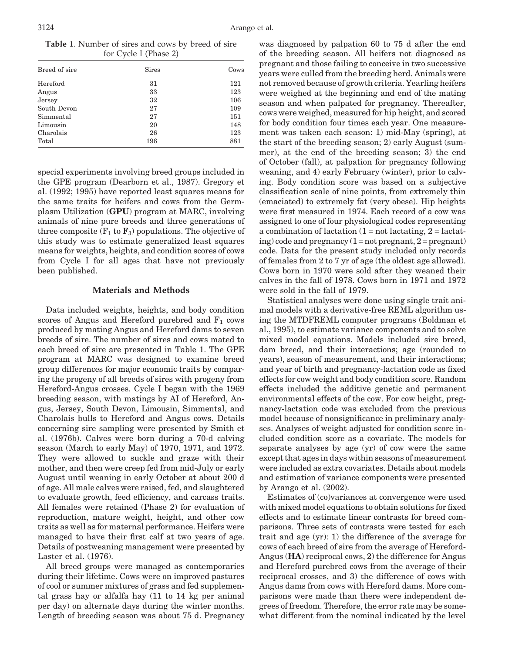**Table 1**. Number of sires and cows by breed of sire for Cycle I (Phase 2)

| Breed of sire | <b>Sires</b> | Cows |
|---------------|--------------|------|
| Hereford      | 31           | 121  |
| Angus         | 33           | 123  |
| Jersey        | 32           | 106  |
| South Devon   | 27           | 109  |
| Simmental     | 27           | 151  |
| Limousin      | 20           | 148  |
| Charolais     | 26           | 123  |
| Total         | 196          | 881  |

special experiments involving breed groups included in the GPE program (Dearborn et al., 1987). Gregory et al. (1992; 1995) have reported least squares means for the same traits for heifers and cows from the Germplasm Utilization (**GPU**) program at MARC, involving animals of nine pure breeds and three generations of three composite  $(F_1$  to  $F_3)$  populations. The objective of this study was to estimate generalized least squares means for weights, heights, and condition scores of cows from Cycle I for all ages that have not previously been published.

# **Materials and Methods**

Data included weights, heights, and body condition scores of Angus and Hereford purebred and  $F_1$  cows produced by mating Angus and Hereford dams to seven breeds of sire. The number of sires and cows mated to each breed of sire are presented in Table 1. The GPE program at MARC was designed to examine breed group differences for major economic traits by comparing the progeny of all breeds of sires with progeny from Hereford-Angus crosses. Cycle I began with the 1969 breeding season, with matings by AI of Hereford, Angus, Jersey, South Devon, Limousin, Simmental, and Charolais bulls to Hereford and Angus cows. Details concerning sire sampling were presented by Smith et al. (1976b). Calves were born during a 70-d calving season (March to early May) of 1970, 1971, and 1972. They were allowed to suckle and graze with their mother, and then were creep fed from mid-July or early August until weaning in early October at about 200 d of age. All male calves were raised, fed, and slaughtered to evaluate growth, feed efficiency, and carcass traits. All females were retained (Phase 2) for evaluation of reproduction, mature weight, height, and other cow traits as well as for maternal performance. Heifers were managed to have their first calf at two years of age. Details of postweaning management were presented by Laster et al. (1976).

All breed groups were managed as contemporaries during their lifetime. Cows were on improved pastures of cool or summer mixtures of grass and fed supplemental grass hay or alfalfa hay (11 to 14 kg per animal per day) on alternate days during the winter months. Length of breeding season was about [75 d. Pre](http://jas.fass.org)gnancy was diagnosed by palpation 60 to 75 d after the end of the breeding season. All heifers not diagnosed as pregnant and those failing to conceive in two successive years were culled from the breeding herd. Animals were not removed because of growth criteria. Yearling heifers were weighed at the beginning and end of the mating season and when palpated for pregnancy. Thereafter, cows were weighed, measured for hip height, and scored for body condition four times each year. One measurement was taken each season: 1) mid-May (spring), at the start of the breeding season; 2) early August (summer), at the end of the breeding season; 3) the end of October (fall), at palpation for pregnancy following weaning, and 4) early February (winter), prior to calving. Body condition score was based on a subjective classification scale of nine points, from extremely thin (emaciated) to extremely fat (very obese). Hip heights were first measured in 1974. Each record of a cow was assigned to one of four physiological codes representing a combination of lactation  $(1 = not lactating, 2 = lactat$ ing) code and pregnancy  $(1 = not$  pregnant,  $2 =$  pregnant) code. Data for the present study included only records of females from 2 to 7 yr of age (the oldest age allowed). Cows born in 1970 were sold after they weaned their calves in the fall of 1978. Cows born in 1971 and 1972 were sold in the fall of 1979.

Statistical analyses were done using single trait animal models with a derivative-free REML algorithm using the MTDFREML computer programs (Boldman et al., 1995), to estimate variance components and to solve mixed model equations. Models included sire breed, dam breed, and their interactions; age (rounded to years), season of measurement, and their interactions; and year of birth and pregnancy-lactation code as fixed effects for cow weight and body condition score. Random effects included the additive genetic and permanent environmental effects of the cow. For cow height, pregnancy-lactation code was excluded from the previous model because of nonsignificance in preliminary analyses. Analyses of weight adjusted for condition score included condition score as a covariate. The models for separate analyses by age (yr) of cow were the same except that ages in days within seasons of measurement were included as extra covariates. Details about models and estimation of variance components were presented by Arango et al. (2002).

Estimates of (co)variances at convergence were used with mixed model equations to obtain solutions for fixed effects and to estimate linear contrasts for breed comparisons. Three sets of contrasts were tested for each trait and age (yr): 1) the difference of the average for cows of each breed of sire from the average of Hereford-Angus (**HA**) reciprocal cows, 2) the difference for Angus and Hereford purebred cows from the average of their reciprocal crosses, and 3) the difference of cows with Angus dams from cows with Hereford dams. More comparisons were made than there were independent degrees of freedom. Therefore, the error rate may be somewhat different from the nominal indicated by the level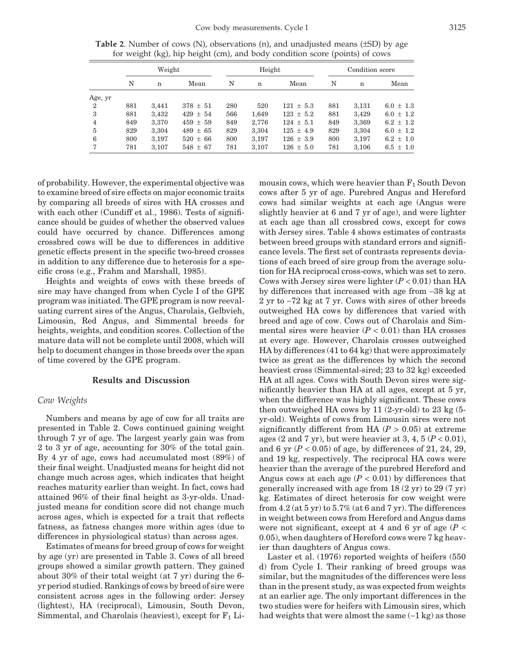|                |     | Weight |              |     | Height |               |     | Condition score |               |  |
|----------------|-----|--------|--------------|-----|--------|---------------|-----|-----------------|---------------|--|
|                | N   | n      | Mean         | N   | n      | Mean          | N   | $\mathbf n$     | Mean          |  |
| Age, yr        |     |        |              |     |        |               |     |                 |               |  |
| $\overline{2}$ | 881 | 3,441  | $378 \pm 51$ | 280 | 520    | $121 \pm 5.3$ | 881 | 3,131           | $6.0 \pm 1.3$ |  |
| 3              | 881 | 3,432  | $429 \pm 54$ | 566 | 1,649  | $123 \pm 5.2$ | 881 | 3,429           | $6.0 \pm 1.2$ |  |
| $\overline{4}$ | 849 | 3,370  | $459 \pm 59$ | 849 | 2,776  | $124 \pm 5.1$ | 849 | 3,369           | $6.2 \pm 1.2$ |  |
| 5              | 829 | 3,304  | $489 \pm 65$ | 829 | 3,304  | $125 \pm 4.9$ | 829 | 3,304           | $6.0 \pm 1.2$ |  |
| 6              | 800 | 3,197  | $520 \pm 66$ | 800 | 3,197  | $126 \pm 3.9$ | 800 | 3,197           | $6.2 \pm 1.0$ |  |
| 7              | 781 | 3,107  | $548 \pm 67$ | 781 | 3,107  | $126 \pm 5.0$ | 781 | 3,106           | $6.5 \pm 1.0$ |  |

**Table 2**. Number of cows (N), observations (n), and unadjusted means (±SD) by age for weight (kg), hip height (cm), and body condition score (points) of cows

of probability. However, the experimental objective was to examine breed of sire effects on major economic traits by comparing all breeds of sires with HA crosses and with each other (Cundiff et al., 1986). Tests of significance should be guides of whether the observed values could have occurred by chance. Differences among crossbred cows will be due to differences in additive genetic effects present in the specific two-breed crosses in addition to any difference due to heterosis for a specific cross (e.g., Frahm and Marshall, 1985).

Heights and weights of cows with these breeds of sire may have changed from when Cycle I of the GPE program was initiated. The GPE program is now reevaluating current sires of the Angus, Charolais, Gelbvieh, Limousin, Red Angus, and Simmental breeds for heights, weights, and condition scores. Collection of the mature data will not be complete until 2008, which will help to document changes in those breeds over the span of time covered by the GPE program.

#### **Results and Discussion**

#### *Cow Weights*

Numbers and means by age of cow for all traits are presented in Table 2. Cows continued gaining weight through 7 yr of age. The largest yearly gain was from 2 to 3 yr of age, accounting for 30% of the total gain. By 4 yr of age, cows had accumulated most (89%) of their final weight. Unadjusted means for height did not change much across ages, which indicates that height reaches maturity earlier than weight. In fact, cows had attained 96% of their final height as 3-yr-olds. Unadjusted means for condition score did not change much across ages, which is expected for a trait that reflects fatness, as fatness changes more within ages (due to differences in physiological status) than across ages.

Estimates of means for breed group of cows for weight by age (yr) are presented in Table 3. Cows of all breed groups showed a similar growth pattern. They gained about 30% of their total weight (at 7 yr) during the 6 yr period studied. Rankings of cows by breed of sire were consistent across ages in the following order: Jersey (lightest), HA (reciprocal), Limousin, South Devon, Simmental, and Charolais (heaviest), [except fo](http://jas.fass.org)r  $F_1$  Limousin cows, which were heavier than  $F_1$  South Devon cows after 5 yr of age. Purebred Angus and Hereford cows had similar weights at each age (Angus were slightly heavier at 6 and 7 yr of age), and were lighter at each age than all crossbred cows, except for cows with Jersey sires. Table 4 shows estimates of contrasts between breed groups with standard errors and significance levels. The first set of contrasts represents deviations of each breed of sire group from the average solution for HA reciprocal cross-cows, which was set to zero. Cows with Jersey sires were lighter (*P* < 0.01) than HA by differences that increased with age from −38 kg at 2 yr to −72 kg at 7 yr. Cows with sires of other breeds outweighed HA cows by differences that varied with breed and age of cow. Cows out of Charolais and Simmental sires were heavier  $(P < 0.01)$  than HA crosses at every age. However, Charolais crosses outweighed HA by differences (41 to 64 kg) that were approximately twice as great as the differences by which the second heaviest cross (Simmental-sired; 23 to 32 kg) exceeded HA at all ages. Cows with South Devon sires were significantly heavier than HA at all ages, except at 5 yr, when the difference was highly significant. These cows then outweighed HA cows by 11  $(2\text{-yr-old})$  to 23 kg  $(5\text{-}$ yr-old). Weights of cows from Limousin sires were not significantly different from HA  $(P > 0.05)$  at extreme ages  $(2 \text{ and } 7 \text{ yr})$ , but were heavier at  $3, 4, 5$   $(P < 0.01)$ , and 6 yr (*P* < 0.05) of age, by differences of 21, 24, 29, and 19 kg, respectively. The reciprocal HA cows were heavier than the average of the purebred Hereford and Angus cows at each age  $(P < 0.01)$  by differences that generally increased with age from 18 (2 yr) to 29 (7 yr) kg. Estimates of direct heterosis for cow weight were from  $4.2$  (at  $5 \text{ yr}$ ) to  $5.7\%$  (at  $6$  and  $7 \text{ yr}$ ). The differences in weight between cows from Hereford and Angus dams were not significant, except at 4 and 6 yr of age  $(P <$ 0.05), when daughters of Hereford cows were 7 kg heavier than daughters of Angus cows.

Laster et al. (1976) reported weights of heifers (550 d) from Cycle I. Their ranking of breed groups was similar, but the magnitudes of the differences were less than in the present study, as was expected from weights at an earlier age. The only important differences in the two studies were for heifers with Limousin sires, which had weights that were almost the same (−1 kg) as those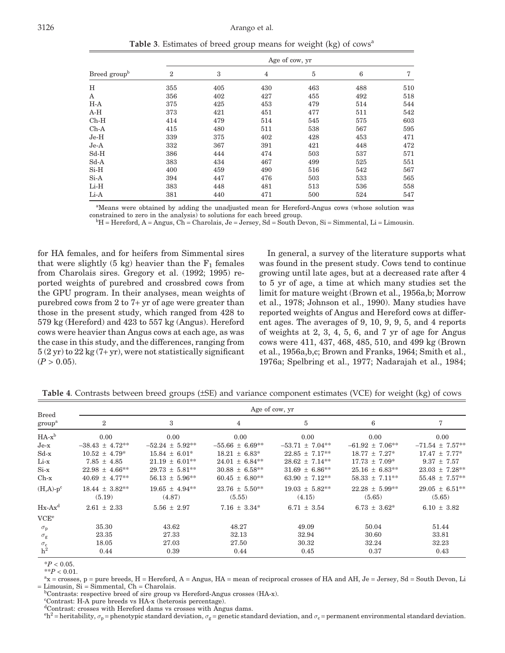**Table 3**. Estimates of breed group means for weight (kg) of cows<sup>a</sup>

| Age of cow, yr |     |     |     |     |     |  |  |
|----------------|-----|-----|-----|-----|-----|--|--|
| $\overline{2}$ | 3   | 4   | 5   | 6   | 7   |  |  |
| 355            | 405 | 430 | 463 | 488 | 510 |  |  |
| 356            | 402 | 427 | 455 | 492 | 518 |  |  |
| 375            | 425 | 453 | 479 | 514 | 544 |  |  |
| 373            | 421 | 451 | 477 | 511 | 542 |  |  |
| 414            | 479 | 514 | 545 | 575 | 603 |  |  |
| 415            | 480 | 511 | 538 | 567 | 595 |  |  |
| 339            | 375 | 402 | 428 | 453 | 471 |  |  |
| 332            | 367 | 391 | 421 | 448 | 472 |  |  |
| 386            | 444 | 474 | 503 | 537 | 571 |  |  |
| 383            | 434 | 467 | 499 | 525 | 551 |  |  |
| 400            | 459 | 490 | 516 | 542 | 567 |  |  |
| 394            | 447 | 476 | 503 | 533 | 565 |  |  |
| 383            | 448 | 481 | 513 | 536 | 558 |  |  |
| 381            | 440 | 471 | 500 | 524 | 547 |  |  |
|                |     |     |     |     |     |  |  |

<sup>a</sup>Means were obtained by adding the unadjusted mean for Hereford-Angus cows (whose solution was constrained to zero in the analysis) to solutions for each breed group. <sup>b</sup>

 $H = Hereford, A = Angus, Ch = Charolais, Je = Jersey, Sd = South Devon, Si = Simmental, Li = Limousin.$ 

for HA females, and for heifers from Simmental sires that were slightly  $(5 \text{ kg})$  heavier than the  $F_1$  females from Charolais sires. Gregory et al. (1992; 1995) reported weights of purebred and crossbred cows from the GPU program. In their analyses, mean weights of purebred cows from 2 to 7+ yr of age were greater than those in the present study, which ranged from 428 to 579 kg (Hereford) and 423 to 557 kg (Angus). Hereford cows were heavier than Angus cows at each age, as was the case in this study, and the differences, ranging from  $5(2 \text{ yr})$  to  $22 \text{ kg}$  (7+ yr), were not statistically significant  $(P > 0.05)$ .

In general, a survey of the literature supports what was found in the present study. Cows tend to continue growing until late ages, but at a decreased rate after 4 to 5 yr of age, a time at which many studies set the limit for mature weight (Brown et al., 1956a,b; Morrow et al., 1978; Johnson et al., 1990). Many studies have reported weights of Angus and Hereford cows at different ages. The averages of 9, 10, 9, 9, 5, and 4 reports of weights at 2, 3, 4, 5, 6, and 7 yr of age for Angus cows were 411, 437, 468, 485, 510, and 499 kg (Brown et al., 1956a,b,c; Brown and Franks, 1964; Smith et al., 1976a; Spelbring et al., 1977; Nadarajah et al., 1984;

| <b>Breed</b>       | Age of cow, yr               |                               |                              |                              |                              |                               |  |  |
|--------------------|------------------------------|-------------------------------|------------------------------|------------------------------|------------------------------|-------------------------------|--|--|
| group <sup>a</sup> | $\overline{2}$               | 3                             | 4                            | 5                            | 6                            | 7                             |  |  |
| $HA-x^b$           | 0.00                         | 0.00                          | 0.00                         | 0.00                         | 0.00                         | 0.00                          |  |  |
| $Je-x$             | $-38.43 \pm 4.72**$          | $-52.24 \pm 5.92$ **          | $-55.66 \pm 6.69***$         | $-53.71 \pm 7.04**$          | $-61.92 \pm 7.06***$         | $-71.54 \pm 7.57***$          |  |  |
| $Sd-x$             | $10.52 \pm 4.79^*$           | $15.84 \pm 6.01^*$            | $18.21 \pm 6.83*$            | $22.85 \pm 7.17**$           | $18.77 \pm 7.27^*$           | $17.47 \pm 7.77*$             |  |  |
| Li-x               | $7.85 \pm 4.85$              | $21.19 \pm 6.01**$            | $24.01 \pm 6.84***$          | $28.62 \pm 7.14***$          | $17.73 \pm 7.09^*$           | $9.37 \pm 7.57$               |  |  |
| $Si-x$             | $22.98 \pm 4.66***$          | $29.73 \pm 5.81***$           | $30.88 \pm 6.58***$          | $31.69 \pm 6.86***$          | $25.16 \pm 6.83**$           | $23.03 \pm 7.28***$           |  |  |
| $Ch-x$             | $40.69 \pm 4.77***$          | $56.13 \pm 5.96***$           | $60.45 \pm 6.80**$           | 63.90 $\pm$ 7.12**           | $58.33 \pm 7.11***$          | $55.48 \pm 7.57***$           |  |  |
| $(H,A)-p^c$        | $18.44 \pm 3.82**$<br>(5.19) | $19.65 \pm 4.94***$<br>(4.87) | $23.76 \pm 5.50**$<br>(5.55) | $19.03 \pm 5.82**$<br>(4.15) | $22.28 \pm 5.99**$<br>(5.65) | $29.05 \pm 6.51***$<br>(5.65) |  |  |
| $Hx-Ax^d$          | $2.61 \pm 2.33$              | $5.56 \pm 2.97$               | $7.16 \pm 3.34*$             | $6.71 \pm 3.54$              | $6.73 \pm 3.62^*$            | $6.10 \pm 3.82$               |  |  |
| VCE <sup>e</sup>   |                              |                               |                              |                              |                              |                               |  |  |
| $\sigma_{\rm p}$   | 35.30                        | 43.62                         | 48.27                        | 49.09                        | 50.04                        | 51.44                         |  |  |
| $\sigma_{\rm g}$   | 23.35                        | 27.33                         | 32.13                        | 32.94                        | 30.60                        | 33.81                         |  |  |
| $\sigma_{\rm c}$   | 18.05                        | 27.03                         | 27.50                        | 30.32                        | 32.24                        | 32.23                         |  |  |
| $h^2$              | 0.44                         | 0.39                          | 0.44                         | 0.45                         | 0.37                         | 0.43                          |  |  |

**Table 4**. Contrasts between breed groups (±SE) and variance component estimates (VCE) for weight (kg) of cows

 $*P < 0.05$ .

 $*$ <sup>\*</sup>*P* < 0.01.

 $x =$  crosses, p = pure breeds, H = Hereford, A = Angus, HA = mean of reciprocal crosses of HA and AH, Je = Jersey, Sd = South Devon, Li  $=$  Limousin, Si  $=$  Simmental, Ch  $=$  Charolais.

 ${}^{\text{b}}$ Contrasts: respective breed of sire group vs Hereford-Angus crosses (HA-x).

c Contrast: H-A pure breeds vs HA-x (heterosis percentage).

d Contrast: crosses with Hereford dams vs crosses with Angus dams.

 $e^{\theta h^2}$  = heritability,  $\sigma_p$  = phenotypic standard dev[iation,](http://jas.fass.org)  $\sigma_g$  = genetic standard deviation, and  $\sigma_c$  = permanent environmental standard deviation.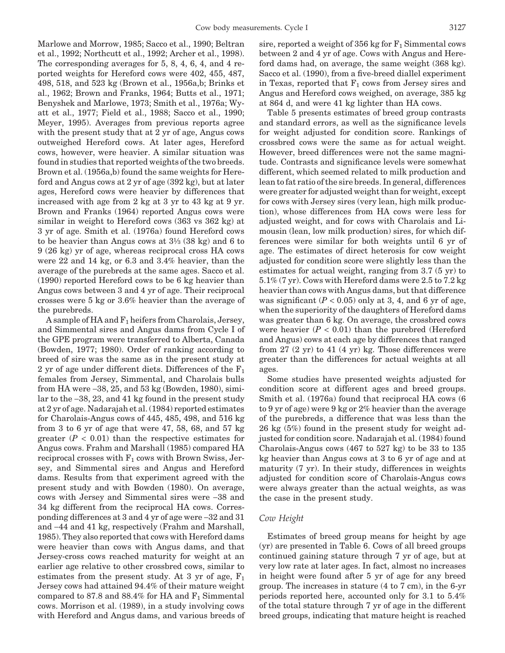Marlowe and Morrow, 1985; Sacco et al., 1990; Beltran et al., 1992; Northcutt et al., 1992; Archer et al., 1998). The corresponding averages for 5, 8, 4, 6, 4, and 4 reported weights for Hereford cows were 402, 455, 487, 498, 518, and 523 kg (Brown et al., 1956a,b; Brinks et al., 1962; Brown and Franks, 1964; Butts et al., 1971; Benyshek and Marlowe, 1973; Smith et al., 1976a; Wyatt et al., 1977; Field et al., 1988; Sacco et al., 1990; Meyer, 1995). Averages from previous reports agree with the present study that at 2 yr of age, Angus cows outweighed Hereford cows. At later ages, Hereford cows, however, were heavier. A similar situation was found in studies that reported weights of the two breeds. Brown et al. (1956a,b) found the same weights for Hereford and Angus cows at 2 yr of age (392 kg), but at later ages, Hereford cows were heavier by differences that increased with age from 2 kg at 3 yr to 43 kg at 9 yr. Brown and Franks (1964) reported Angus cows were similar in weight to Hereford cows (363 vs 362 kg) at 3 yr of age. Smith et al. (1976a) found Hereford cows to be heavier than Angus cows at  $3\frac{1}{3}$  (38 kg) and 6 to 9 (26 kg) yr of age, whereas reciprocal cross HA cows were 22 and 14 kg, or 6.3 and 3.4% heavier, than the average of the purebreds at the same ages. Sacco et al. (1990) reported Hereford cows to be 6 kg heavier than Angus cows between 3 and 4 yr of age. Their reciprocal crosses were 5 kg or 3.6% heavier than the average of the purebreds.

A sample of HA and  $F_1$  heifers from Charolais, Jersey, and Simmental sires and Angus dams from Cycle I of the GPE program were transferred to Alberta, Canada (Bowden, 1977; 1980). Order of ranking according to breed of sire was the same as in the present study at 2 yr of age under different diets. Differences of the  $F_1$ females from Jersey, Simmental, and Charolais bulls from HA were −38, 25, and 53 kg (Bowden, 1980), similar to the −38, 23, and 41 kg found in the present study at 2 yr of age. Nadarajah et al. (1984) reported estimates for Charolais-Angus cows of 445, 485, 498, and 516 kg from 3 to 6 yr of age that were 47, 58, 68, and 57 kg greater  $(P < 0.01)$  than the respective estimates for Angus cows. Frahm and Marshall (1985) compared HA reciprocal crosses with  $F_1$  cows with Brown Swiss, Jersey, and Simmental sires and Angus and Hereford dams. Results from that experiment agreed with the present study and with Bowden (1980). On average, cows with Jersey and Simmental sires were −38 and 34 kg different from the reciprocal HA cows. Corresponding differences at 3 and 4 yr of age were −32 and 31 and −44 and 41 kg, respectively (Frahm and Marshall, 1985). They also reported that cows with Hereford dams were heavier than cows with Angus dams, and that Jersey-cross cows reached maturity for weight at an earlier age relative to other crossbred cows, similar to estimates from the present study. At 3 yr of age,  $F_1$ Jersey cows had attained 94.4% of their mature weight compared to 87.8 and 88.4% for HA and  $F_1$  Simmental cows. Morrison et al. (1989), in a study involving cows with Hereford and Angus dams, and v[arious br](http://jas.fass.org)eeds of sire, reported a weight of 356 kg for  $F_1$  Simmental cows between 2 and 4 yr of age. Cows with Angus and Hereford dams had, on average, the same weight (368 kg). Sacco et al. (1990), from a five-breed diallel experiment in Texas, reported that  $F_1$  cows from Jersey sires and Angus and Hereford cows weighed, on average, 385 kg at 864 d, and were 41 kg lighter than HA cows.

Table 5 presents estimates of breed group contrasts and standard errors, as well as the significance levels for weight adjusted for condition score. Rankings of crossbred cows were the same as for actual weight. However, breed differences were not the same magnitude. Contrasts and significance levels were somewhat different, which seemed related to milk production and lean to fat ratio of the sire breeds. In general, differences were greater for adjusted weight than for weight, except for cows with Jersey sires (very lean, high milk production), whose differences from HA cows were less for adjusted weight, and for cows with Charolais and Limousin (lean, low milk production) sires, for which differences were similar for both weights until 6 yr of age. The estimates of direct heterosis for cow weight adjusted for condition score were slightly less than the estimates for actual weight, ranging from 3.7 (5 yr) to 5.1% (7 yr). Cows with Hereford dams were 2.5 to 7.2 kg heavier than cows with Angus dams, but that difference was significant  $(P < 0.05)$  only at 3, 4, and 6 yr of age, when the superiority of the daughters of Hereford dams was greater than 6 kg. On average, the crossbred cows were heavier  $(P < 0.01)$  than the purebred (Hereford and Angus) cows at each age by differences that ranged from  $27$  (2 yr) to  $41$  (4 yr) kg. Those differences were greater than the differences for actual weights at all ages.

Some studies have presented weights adjusted for condition score at different ages and breed groups. Smith et al. (1976a) found that reciprocal HA cows (6 to 9 yr of age) were 9 kg or 2% heavier than the average of the purebreds, a difference that was less than the 26 kg (5%) found in the present study for weight adjusted for condition score. Nadarajah et al. (1984) found Charolais-Angus cows (467 to 527 kg) to be 33 to 135 kg heavier than Angus cows at 3 to 6 yr of age and at maturity (7 yr). In their study, differences in weights adjusted for condition score of Charolais-Angus cows were always greater than the actual weights, as was the case in the present study.

#### *Cow Height*

Estimates of breed group means for height by age (yr) are presented in Table 6. Cows of all breed groups continued gaining stature through 7 yr of age, but at very low rate at later ages. In fact, almost no increases in height were found after 5 yr of age for any breed group. The increases in stature (4 to 7 cm), in the 6-yr periods reported here, accounted only for 3.1 to 5.4% of the total stature through 7 yr of age in the different breed groups, indicating that mature height is reached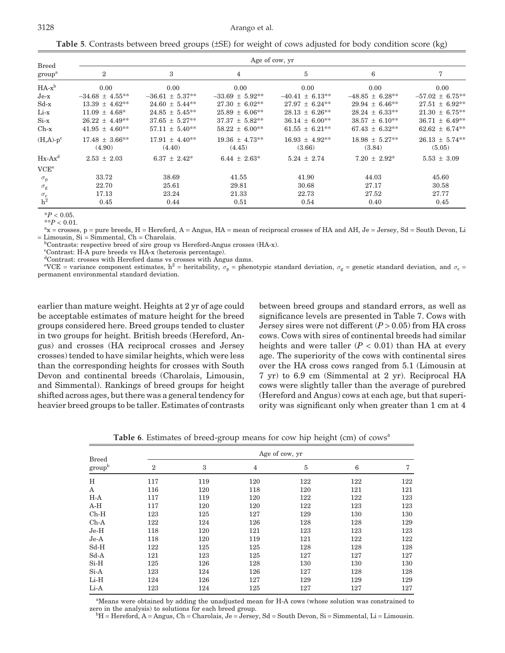#### 3128 Arango et al.

**Table 5**. Contrasts between breed groups (±SE) for weight of cows adjusted for body condition score (kg)

| <b>Breed</b>              | Age of cow, yr                |                               |                               |                              |                              |                               |  |  |
|---------------------------|-------------------------------|-------------------------------|-------------------------------|------------------------------|------------------------------|-------------------------------|--|--|
| $\mbox{group}^{\mbox{a}}$ | $\overline{2}$                | 3                             | $\overline{4}$                | 5                            | 6                            | 7                             |  |  |
| $HA-x^b$                  | 0.00                          | 0.00                          | 0.00                          | 0.00                         | 0.00                         | 0.00                          |  |  |
| $Je-x$                    | $-34.68 \pm 4.55***$          | $-36.61 \pm 5.37**$           | $-33.69 \pm 5.92***$          | $-40.41 \pm 6.13**$          | $-48.85 \pm 6.28***$         | $-57.02 \pm 6.75***$          |  |  |
| $Sd-x$                    | $13.39 \pm 4.62$ **           | $24.60 \pm 5.44***$           | $27.30 \pm 6.02**$            | $27.97 \pm 6.24***$          | $29.94 \pm 6.46***$          | $27.51 \pm 6.92**$            |  |  |
| Li-x                      | $11.09 \pm 4.68^*$            | $24.85 \pm 5.45***$           | $25.89 \pm 6.06***$           | $28.13 \pm 6.26***$          | $28.24 \pm 6.33**$           | $21.30 \pm 6.75***$           |  |  |
| $Si-x$                    | $26.22 \pm 4.49**$            | $37.65 \pm 5.27**$            | $37.37 \pm 5.82***$           | $36.14 \pm 6.00**$           | $38.57 \pm 6.10^{**}$        | $36.71 \pm 6.49**$            |  |  |
| $Ch-x$                    | $41.95 \pm 4.60***$           | $57.11 \pm 5.40***$           | $58.22 \pm 6.00**$            | $61.55 \pm 6.21***$          | $67.43 \pm 6.32**$           | $62.62 \pm 6.74***$           |  |  |
| $(H,A)-p^c$               | $17.48 \pm 3.66***$<br>(4.90) | $17.91 \pm 4.40***$<br>(4.40) | $19.36 \pm 4.73***$<br>(4.45) | $16.93 \pm 4.92**$<br>(3.66) | $18.98 \pm 5.27**$<br>(3.84) | $26.13 \pm 5.74***$<br>(5.05) |  |  |
| $Hx-Ax^d$                 | $2.53 \pm 2.03$               | $6.37 \pm 2.42^*$             | $6.44 \pm 2.63^*$             | $5.24 \pm 2.74$              | $7.20 \pm 2.92^*$            | $5.53 \pm 3.09$               |  |  |
| VCE <sup>e</sup>          |                               |                               |                               |                              |                              |                               |  |  |
| $\sigma_{\rm p}$          | 33.72                         | 38.69                         | 41.55                         | 41.90                        | 44.03                        | 45.60                         |  |  |
| $\sigma_{\rm g}$          | 22.70                         | 25.61                         | 29.81                         | 30.68                        | 27.17                        | 30.58                         |  |  |
| $\sigma_{\rm c}$          | 17.13                         | 23.24                         | 21.33                         | 22.73                        | 27.52                        | 27.77                         |  |  |
| h <sup>2</sup>            | 0.45                          | 0.44                          | 0.51                          | 0.54                         | 0.40                         | 0.45                          |  |  |

\**P* < 0.05.

 $*$ <sup>\*</sup>*P* < 0.01.

x = crosses, p = pure breeds, H = Hereford, A = Angus, HA = mean of reciprocal crosses of HA and AH, Je = Jersey, Sd = South Devon, Li  $=$  Limousin, Si  $=$  Simmental, Ch  $=$  Charolais.

Contrasts: respective breed of sire group vs Hereford-Angus crosses (HA-x).

c Contrast: H-A pure breeds vs HA-x (heterosis percentage).

d Contrast: crosses with Hereford dams vs crosses with Angus dams.

eVCE = variance component estimates,  $h^2$  = heritability,  $\sigma_p$  = phenotypic standard deviation,  $\sigma_g$  = genetic standard deviation, and  $\sigma_c$  = permanent environmental standard deviation.

earlier than mature weight. Heights at 2 yr of age could be acceptable estimates of mature height for the breed groups considered here. Breed groups tended to cluster in two groups for height. British breeds (Hereford, Angus) and crosses (HA reciprocal crosses and Jersey crosses) tended to have similar heights, which were less than the corresponding heights for crosses with South Devon and continental breeds (Charolais, Limousin, and Simmental). Rankings of breed groups for height shifted across ages, but there was a general tendency for heavier breed groups to be taller. Estimates of contrasts between breed groups and standard errors, as well as significance levels are presented in Table 7. Cows with Jersey sires were not different  $(P > 0.05)$  from HA cross cows. Cows with sires of continental breeds had similar heights and were taller  $(P < 0.01)$  than HA at every age. The superiority of the cows with continental sires over the HA cross cows ranged from 5.1 (Limousin at 7 yr) to 6.9 cm (Simmental at 2 yr). Reciprocal HA cows were slightly taller than the average of purebred (Hereford and Angus) cows at each age, but that superiority was significant only when greater than 1 cm at 4

**Table 6**. Estimates of breed-group means for cow hip height (cm) of cows<sup>a</sup>

| <b>Breed</b>       |                | Age of cow, yr |                |         |     |     |  |  |  |
|--------------------|----------------|----------------|----------------|---------|-----|-----|--|--|--|
| group <sup>b</sup> | $\overline{2}$ | 3              | $\overline{4}$ | $\bf 5$ | 6   | 7   |  |  |  |
| H                  | 117            | 119            | 120            | 122     | 122 | 122 |  |  |  |
| A                  | 116            | 120            | 118            | 120     | 121 | 121 |  |  |  |
| $H-A$              | 117            | 119            | 120            | 122     | 122 | 123 |  |  |  |
| $A-H$              | 117            | 120            | 120            | 122     | 123 | 123 |  |  |  |
| $Ch-H$             | 123            | 125            | 127            | 129     | 130 | 130 |  |  |  |
| $Ch-A$             | 122            | 124            | 126            | 128     | 128 | 129 |  |  |  |
| $Je-H$             | 118            | 120            | 121            | 123     | 123 | 123 |  |  |  |
| $Je-A$             | 118            | 120            | 119            | 121     | 122 | 122 |  |  |  |
| $Sd-H$             | 122            | 125            | 125            | 128     | 128 | 128 |  |  |  |
| $Sd-A$             | 121            | 123            | 125            | 127     | 127 | 127 |  |  |  |
| $Si-H$             | 125            | 126            | 128            | 130     | 130 | 130 |  |  |  |
| $Si-A$             | 123            | 124            | 126            | 127     | 128 | 128 |  |  |  |
| Li-H               | 124            | 126            | 127            | 129     | 129 | 129 |  |  |  |
| Li-A               | 123            | 124            | 125            | 127     | 127 | 127 |  |  |  |

<sup>a</sup>Means were obtained by adding the unadjusted mean for H-A cows (whose solution was constrained to zero in the analysis) to solutions for each breed group. <sup>b</sup>

 $hH$  = Hereford, A = Angus, Ch = [Charola](http://jas.fass.org)is, Je = Jersey, Sd = South Devon, Si = Simmental, Li = Limousin.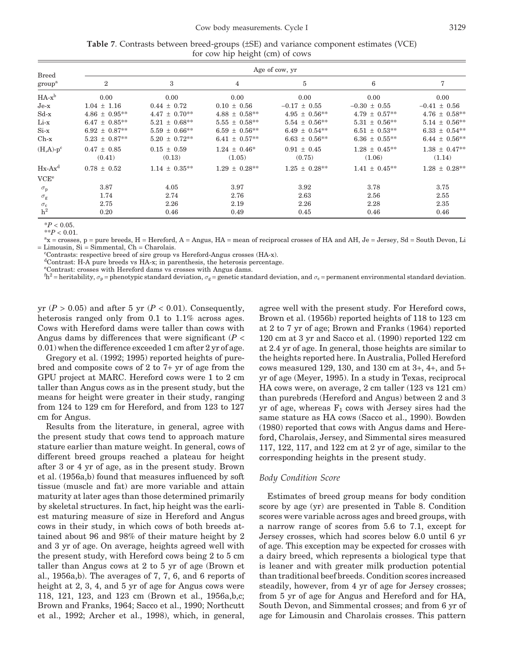|                                    | Age of cow, yr     |                    |                    |                    |                    |                    |  |  |  |
|------------------------------------|--------------------|--------------------|--------------------|--------------------|--------------------|--------------------|--|--|--|
| <b>Breed</b><br>group <sup>a</sup> | $\overline{2}$     | 3                  | 4                  | 5                  | 6                  | 7                  |  |  |  |
| $HA-x^b$                           | 0.00               | 0.00               | 0.00               | 0.00               | 0.00               | 0.00               |  |  |  |
| $Je-x$                             | $1.04 \pm 1.16$    | $0.44 \pm 0.72$    | $0.10 \pm 0.56$    | $-0.17 \pm 0.55$   | $-0.30 \pm 0.55$   | $-0.41 \pm 0.56$   |  |  |  |
| $Sd-x$                             | $4.86 \pm 0.95***$ | $4.47 \pm 0.70**$  | $4.88 \pm 0.58***$ | $4.95 \pm 0.56***$ | $4.79 \pm 0.57***$ | $4.76 \pm 0.58***$ |  |  |  |
| Li-x                               | $6.47 \pm 0.85***$ | $5.21 \pm 0.68***$ | $5.55 \pm 0.58***$ | $5.54 \pm 0.56***$ | $5.31 \pm 0.56**$  | $5.14 \pm 0.56***$ |  |  |  |
| $Si-x$                             | $6.92 \pm 0.87**$  | $5.59 \pm 0.66***$ | $6.59 \pm 0.56***$ | $6.49 \pm 0.54***$ | $6.51 \pm 0.53**$  | $6.33 \pm 0.54**$  |  |  |  |
| $Ch-x$                             | $5.23 \pm 0.87**$  | $5.20 \pm 0.72**$  | $6.41 \pm 0.57***$ | $6.63 \pm 0.56**$  | $6.36 \pm 0.55***$ | $6.44 \pm 0.56***$ |  |  |  |
| $(H,A)-p^c$                        | $0.47 \pm 0.85$    | $0.15 \pm 0.59$    | $1.24 \pm 0.46^*$  | $0.91 \pm 0.45$    | $1.28 \pm 0.45***$ | $1.38 \pm 0.47**$  |  |  |  |
|                                    | (0.41)             | (0.13)             | (1.05)             | (0.75)             | (1.06)             | (1.14)             |  |  |  |
| $Hx-Ax^d$                          | $0.78 \pm 0.52$    | $1.14 \pm 0.35***$ | $1.29 \pm 0.28**$  | $1.25 \pm 0.28***$ | $1.41 \pm 0.45***$ | $1.28 \pm 0.28**$  |  |  |  |
| VCE <sup>e</sup>                   |                    |                    |                    |                    |                    |                    |  |  |  |
| $\sigma_{\rm p}$                   | 3.87               | 4.05               | 3.97               | 3.92               | 3.78               | 3.75               |  |  |  |
| $\sigma_{\rm g}$                   | 1.74               | 2.74               | 2.76               | 2.63               | 2.56               | 2.55               |  |  |  |
| $\sigma_{\rm c}$                   | 2.75               | 2.26               | 2.19               | 2.26               | 2.28               | 2.35               |  |  |  |
| h <sup>2</sup>                     | 0.20               | 0.46               | 0.49               | 0.45               | 0.46               | 0.46               |  |  |  |

**Table 7**. Contrasts between breed-groups (±SE) and variance component estimates (VCE) for cow hip height (cm) of cows

\**P* < 0.05.

 $*$ <sup>\*</sup>*P* < 0.01.

x = crosses, p = pure breeds, H = Hereford, A = Angus, HA = mean of reciprocal crosses of HA and AH, Je = Jersey, Sd = South Devon, Li  $=$  Limousin, Si  $=$  Simmental, Ch  $=$  Charolais.

Contrasts: respective breed of sire group vs Hereford-Angus crosses (HA-x).

d Contrast: H-A pure breeds vs HA-x; in parenthesis, the heterosis percentage.

e Contrast: crosses with Hereford dams vs crosses with Angus dams.

 $^{\rm f}{\rm h}^2$  = heritability,  $\sigma_{\rm p}$  = phenotypic standard deviation,  $\sigma_{\rm g}$  = genetic standard deviation, and  $\sigma_{\rm c}$  = permanent environmental standard deviation.

yr  $(P > 0.05)$  and after 5 yr  $(P < 0.01)$ . Consequently, heterosis ranged only from 0.1 to 1.1% across ages. Cows with Hereford dams were taller than cows with Angus dams by differences that were significant  $(P <$ 0.01) when the difference exceeded 1 cm after 2 yr of age.

Gregory et al. (1992; 1995) reported heights of purebred and composite cows of 2 to 7+ yr of age from the GPU project at MARC. Hereford cows were 1 to 2 cm taller than Angus cows as in the present study, but the means for height were greater in their study, ranging from 124 to 129 cm for Hereford, and from 123 to 127 cm for Angus.

Results from the literature, in general, agree with the present study that cows tend to approach mature stature earlier than mature weight. In general, cows of different breed groups reached a plateau for height after 3 or 4 yr of age, as in the present study. Brown et al. (1956a,b) found that measures influenced by soft tissue (muscle and fat) are more variable and attain maturity at later ages than those determined primarily by skeletal structures. In fact, hip height was the earliest maturing measure of size in Hereford and Angus cows in their study, in which cows of both breeds attained about 96 and 98% of their mature height by 2 and 3 yr of age. On average, heights agreed well with the present study, with Hereford cows being 2 to 5 cm taller than Angus cows at 2 to 5 yr of age (Brown et al., 1956a,b). The averages of 7, 7, 6, and 6 reports of height at 2, 3, 4, and 5 yr of age for Angus cows were 118, 121, 123, and 123 cm (Brown et al., 1956a,b,c; Brown and Franks, 1964; Sacco et al., 1990; Northcutt et al., 1992; Archer et al., 1998), w[hich, in g](http://jas.fass.org)eneral, agree well with the present study. For Hereford cows, Brown et al. (1956b) reported heights of 118 to 123 cm at 2 to 7 yr of age; Brown and Franks (1964) reported 120 cm at 3 yr and Sacco et al. (1990) reported 122 cm at 2.4 yr of age. In general, those heights are similar to the heights reported here. In Australia, Polled Hereford cows measured 129, 130, and 130 cm at 3+, 4+, and 5+ yr of age (Meyer, 1995). In a study in Texas, reciprocal HA cows were, on average, 2 cm taller (123 vs 121 cm) than purebreds (Hereford and Angus) between 2 and 3 yr of age, whereas  $F_1$  cows with Jersey sires had the same stature as HA cows (Sacco et al., 1990). Bowden (1980) reported that cows with Angus dams and Hereford, Charolais, Jersey, and Simmental sires measured 117, 122, 117, and 122 cm at 2 yr of age, similar to the corresponding heights in the present study.

# *Body Condition Score*

Estimates of breed group means for body condition score by age (yr) are presented in Table 8. Condition scores were variable across ages and breed groups, with a narrow range of scores from 5.6 to 7.1, except for Jersey crosses, which had scores below 6.0 until 6 yr of age. This exception may be expected for crosses with a dairy breed, which represents a biological type that is leaner and with greater milk production potential than traditional beef breeds. Condition scores increased steadily, however, from 4 yr of age for Jersey crosses; from 5 yr of age for Angus and Hereford and for HA, South Devon, and Simmental crosses; and from 6 yr of age for Limousin and Charolais crosses. This pattern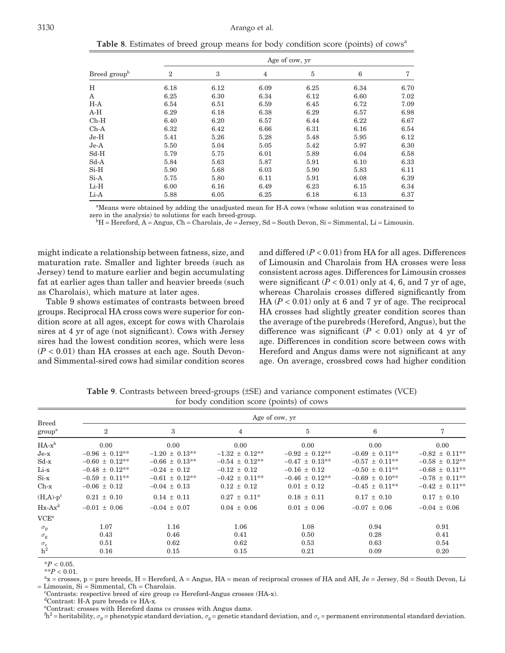**Table 8**. Estimates of breed group means for body condition score (points) of cows<sup>a</sup>

|                          |                  | Age of cow, yr |      |      |                 |      |  |  |  |
|--------------------------|------------------|----------------|------|------|-----------------|------|--|--|--|
| Breed group <sup>b</sup> | $\boldsymbol{2}$ | 3              | 4    | 5    | $6\phantom{1}6$ | 7    |  |  |  |
| H                        | 6.18             | 6.12           | 6.09 | 6.25 | 6.34            | 6.70 |  |  |  |
| Α                        | 6.25             | 6.30           | 6.34 | 6.12 | 6.60            | 7.02 |  |  |  |
| $H-A$                    | 6.54             | 6.51           | 6.59 | 6.45 | 6.72            | 7.09 |  |  |  |
| $A-H$                    | 6.29             | 6.18           | 6.38 | 6.29 | 6.57            | 6.98 |  |  |  |
| $Ch-H$                   | 6.40             | 6.20           | 6.57 | 6.44 | 6.22            | 6.67 |  |  |  |
| $Ch-A$                   | 6.32             | 6.42           | 6.66 | 6.31 | 6.16            | 6.54 |  |  |  |
| $Je-H$                   | 5.41             | 5.26           | 5.28 | 5.48 | 5.95            | 6.12 |  |  |  |
| $Je-A$                   | 5.50             | 5.04           | 5.05 | 5.42 | 5.97            | 6.30 |  |  |  |
| $Sd-H$                   | 5.79             | 5.75           | 6.01 | 5.89 | 6.04            | 6.58 |  |  |  |
| $Sd-A$                   | 5.84             | 5.63           | 5.87 | 5.91 | 6.10            | 6.33 |  |  |  |
| $Si-H$                   | 5.90             | 5.68           | 6.03 | 5.90 | 5.83            | 6.11 |  |  |  |
| $Si-A$                   | 5.75             | 5.80           | 6.11 | 5.91 | 6.08            | 6.39 |  |  |  |
| $Li-H$                   | 6.00             | 6.16           | 6.49 | 6.23 | 6.15            | 6.34 |  |  |  |
| Li-A                     | 5.88             | 6.05           | 6.25 | 6.18 | 6.13            | 6.37 |  |  |  |

<sup>a</sup>Means were obtained by adding the unadjusted mean for H-A cows (whose solution was constrained to zero in the analysis) to solutions for each breed-group.

 $H =$  Hereford, A = Angus, Ch = Charolais, Je = Jersey, Sd = South Devon, Si = Simmental, Li = Limousin.

might indicate a relationship between fatness, size, and maturation rate. Smaller and lighter breeds (such as Jersey) tend to mature earlier and begin accumulating fat at earlier ages than taller and heavier breeds (such as Charolais), which mature at later ages.

Table 9 shows estimates of contrasts between breed groups. Reciprocal HA cross cows were superior for condition score at all ages, except for cows with Charolais sires at 4 yr of age (not significant). Cows with Jersey sires had the lowest condition scores, which were less  $(P < 0.01)$  than HA crosses at each age. South Devonand Simmental-sired cows had similar condition scores and differed (*P* < 0.01) from HA for all ages. Differences of Limousin and Charolais from HA crosses were less consistent across ages. Differences for Limousin crosses were significant  $(P < 0.01)$  only at 4, 6, and 7 yr of age, whereas Charolais crosses differed significantly from HA  $(P < 0.01)$  only at 6 and 7 yr of age. The reciprocal HA crosses had slightly greater condition scores than the average of the purebreds (Hereford, Angus), but the difference was significant  $(P < 0.01)$  only at 4 yr of age. Differences in condition score between cows with Hereford and Angus dams were not significant at any age. On average, crossbred cows had higher condition

| <b>Breed</b><br>group <sup>a</sup> | Age of cow, yr      |                     |                     |                     |                     |                     |  |  |  |
|------------------------------------|---------------------|---------------------|---------------------|---------------------|---------------------|---------------------|--|--|--|
|                                    | $\overline{2}$      | 3                   | 4                   | 5                   | 6                   | 7                   |  |  |  |
| $HA-x^b$                           | 0.00                | 0.00                | 0.00                | 0.00                | 0.00                | 0.00                |  |  |  |
| $Je-x$                             | $-0.96 \pm 0.12**$  | $-1.20 \pm 0.13**$  | $-1.32 \pm 0.12$ ** | $-0.92 \pm 0.12***$ | $-0.69 \pm 0.11***$ | $-0.82 \pm 0.11**$  |  |  |  |
| $Sd-x$                             | $-0.60 \pm 0.12**$  | $-0.66 \pm 0.13***$ | $-0.54 \pm 0.12**$  | $-0.47 \pm 0.13***$ | $-0.57 \pm 0.11***$ | $-0.58 \pm 0.12**$  |  |  |  |
| Li-x                               | $-0.48 \pm 0.12$ ** | $-0.24 \pm 0.12$    | $-0.12 \pm 0.12$    | $-0.16 \pm 0.12$    | $-0.50 \pm 0.11***$ | $-0.68 \pm 0.11**$  |  |  |  |
| $Si-x$                             | $-0.59 \pm 0.11***$ | $-0.61 \pm 0.12**$  | $-0.42 \pm 0.11**$  | $-0.46 \pm 0.12***$ | $-0.69 \pm 0.10**$  | $-0.78 \pm 0.11**$  |  |  |  |
| $Ch-x$                             | $-0.06 \pm 0.12$    | $-0.04 \pm 0.13$    | $0.12 \pm 0.12$     | $0.01 \pm 0.12$     | $-0.45 \pm 0.11***$ | $-0.42 \pm 0.11***$ |  |  |  |
| $(H,A)-p^c$                        | $0.21 \pm 0.10$     | $0.14 \pm 0.11$     | $0.27 \pm 0.11^*$   | $0.18 \pm 0.11$     | $0.17 \pm 0.10$     | $0.17 \pm 0.10$     |  |  |  |
| $Hx-Ax^d$                          | $-0.01 \pm 0.06$    | $-0.04 \pm 0.07$    | $0.04 \pm 0.06$     | $0.01 \pm 0.06$     | $-0.07 \pm 0.06$    | $-0.04 \pm 0.06$    |  |  |  |
| VCE <sup>e</sup>                   |                     |                     |                     |                     |                     |                     |  |  |  |
| $\sigma_{\rm p}$                   | 1.07                | 1.16                | 1.06                | 1.08                | 0.94                | 0.91                |  |  |  |
| $\sigma_{\rm g}$                   | 0.43                | 0.46                | 0.41                | 0.50                | 0.28                | 0.41                |  |  |  |
| $\sigma_{\rm c}$                   | 0.51                | 0.62                | 0.62                | 0.53                | 0.63                | 0.54                |  |  |  |
| h <sup>2</sup>                     | 0.16                | 0.15                | 0.15                | 0.21                | 0.09                | 0.20                |  |  |  |

**Table 9**. Contrasts between breed-groups (±SE) and variance component estimates (VCE) for body condition score (points) of cows

 $*P < 0.05$ .

 $*$ <sup>\*</sup>*P* < 0.01.

 $x =$  crosses, p = pure breeds, H = Hereford, A = Angus, HA = mean of reciprocal crosses of HA and AH, Je = Jersey, Sd = South Devon, Li  $=$  Limousin,  $Si =$  Simmental,  $Ch =$  Charolais.

<sup>c</sup>Contrasts: respective breed of sire group *vs* Hereford-Angus crosses (HA-x).

<sup>d</sup>Contrast: H-A pure breeds *vs* HA-x.

<sup>e</sup>Contrast: crosses with Hereford dams *vs* crosses with Angus dams.

 $^{\text{fh2}}$  = heritability,  $\sigma_p$  = phenotypic standard dev[iation,](http://jas.fass.org)  $\sigma_g$  = genetic standard deviation, and  $\sigma_c$  = permanent environmental standard deviation.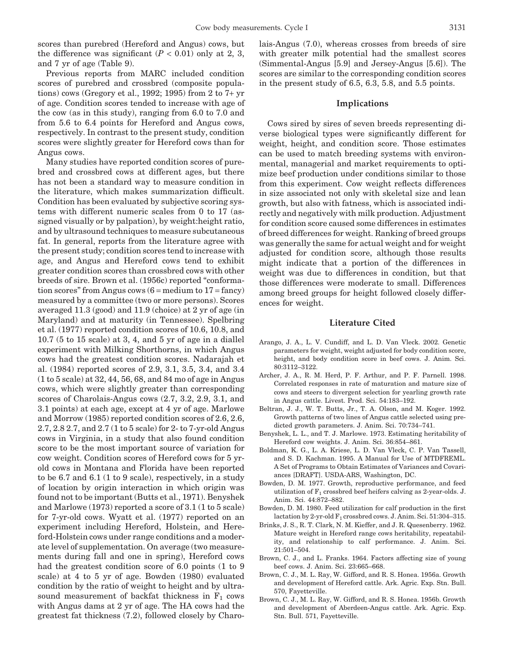scores than purebred (Hereford and Angus) cows, but the difference was significant  $(P < 0.01)$  only at 2, 3, and 7 yr of age (Table 9).

Previous reports from MARC included condition scores of purebred and crossbred (composite populations) cows (Gregory et al., 1992; 1995) from 2 to  $7+yr$ of age. Condition scores tended to increase with age of the cow (as in this study), ranging from 6.0 to 7.0 and from 5.6 to 6.4 points for Hereford and Angus cows, respectively. In contrast to the present study, condition scores were slightly greater for Hereford cows than for Angus cows.

Many studies have reported condition scores of purebred and crossbred cows at different ages, but there has not been a standard way to measure condition in the literature, which makes summarization difficult. Condition has been evaluated by subjective scoring systems with different numeric scales from 0 to 17 (assigned visually or by palpation), by weight:height ratio, and by ultrasound techniques to measure subcutaneous fat. In general, reports from the literature agree with the present study; condition scores tend to increase with age, and Angus and Hereford cows tend to exhibit greater condition scores than crossbred cows with other breeds of sire. Brown et al. (1956c) reported "conformation scores" from Angus cows  $(6 = \text{medium to } 17 = \text{fancy})$ measured by a committee (two or more persons). Scores averaged 11.3 (good) and 11.9 (choice) at 2 yr of age (in Maryland) and at maturity (in Tennessee). Spelbring et al. (1977) reported condition scores of 10.6, 10.8, and 10.7 (5 to 15 scale) at 3, 4, and 5 yr of age in a diallel experiment with Milking Shorthorns, in which Angus cows had the greatest condition scores. Nadarajah et al. (1984) reported scores of 2.9, 3.1, 3.5, 3.4, and 3.4 (1 to 5 scale) at 32, 44, 56, 68, and 84 mo of age in Angus cows, which were slightly greater than corresponding scores of Charolais-Angus cows (2.7, 3.2, 2.9, 3.1, and 3.1 points) at each age, except at 4 yr of age. Marlowe and Morrow (1985) reported condition scores of 2.6, 2.6, 2.7, 2.8 2.7, and 2.7 (1 to 5 scale) for 2- to 7-yr-old Angus cows in Virginia, in a study that also found condition score to be the most important source of variation for cow weight. Condition scores of Hereford cows for 5 yrold cows in Montana and Florida have been reported to be 6.7 and 6.1 (1 to 9 scale), respectively, in a study of location by origin interaction in which origin was found not to be important (Butts et al., 1971). Benyshek and Marlowe (1973) reported a score of 3.1 (1 to 5 scale) for 7-yr-old cows. Wyatt et al. (1977) reported on an experiment including Hereford, Holstein, and Hereford-Holstein cows under range conditions and a moderate level of supplementation. On average (two measurements during fall and one in spring), Hereford cows had the greatest condition score of 6.0 points (1 to 9 scale) at 4 to 5 yr of age. Bowden (1980) evaluated condition by the ratio of weight to height and by ultrasound measurement of backfat thickness in  $F_1$  cows with Angus dams at 2 yr of age. The HA cows had the greatest fat thickness (7.2), followed c[losely by](http://jas.fass.org) Charolais-Angus (7.0), whereas crosses from breeds of sire with greater milk potential had the smallest scores (Simmental-Angus [5.9] and Jersey-Angus [5.6]). The scores are similar to the corresponding condition scores in the present study of 6.5, 6.3, 5.8, and 5.5 points.

## **Implications**

Cows sired by sires of seven breeds representing diverse biological types were significantly different for weight, height, and condition score. Those estimates can be used to match breeding systems with environmental, managerial and market requirements to optimize beef production under conditions similar to those from this experiment. Cow weight reflects differences in size associated not only with skeletal size and lean growth, but also with fatness, which is associated indirectly and negatively with milk production. Adjustment for condition score caused some differences in estimates of breed differences for weight. Ranking of breed groups was generally the same for actual weight and for weight adjusted for condition score, although those results might indicate that a portion of the differences in weight was due to differences in condition, but that those differences were moderate to small. Differences among breed groups for height followed closely differences for weight.

# **Literature Cited**

- Arango, J. A., L. V. Cundiff, and L. D. Van Vleck. 2002. Genetic parameters for weight, weight adjusted for body condition score, height, and body condition score in beef cows. J. Anim. Sci. 80:3112–3122.
- Archer, J. A., R. M. Herd, P. F. Arthur, and P. F. Parnell. 1998. Correlated responses in rate of maturation and mature size of cows and steers to divergent selection for yearling growth rate in Angus cattle. Livest. Prod. Sci. 54:183–192.
- Beltran, J. J., W. T. Butts, Jr., T. A. Olson, and M. Koger. 1992. Growth patterns of two lines of Angus cattle selected using predicted growth parameters. J. Anim. Sci. 70:734–741.
- Benyshek, L. L., and T. J. Marlowe. 1973. Estimating heritability of Hereford cow weights. J. Anim. Sci. 36:854–861.
- Boldman, K. G., L. A. Kriese, L. D. Van Vleck, C. P. Van Tassell, and S. D. Kachman. 1995. A Manual for Use of MTDFREML. A Set of Programs to Obtain Estimates of Variances and Covariances [DRAFT]. USDA-ARS, Washington, DC.
- Bowden, D. M. 1977. Growth, reproductive performance, and feed utilization of  $F_1$  crossbred beef heifers calving as 2-year-olds. J. Anim. Sci. 44:872–882.
- Bowden, D. M. 1980. Feed utilization for calf production in the first lactation by 2-yr-old  $F_1$  crossbred cows. J. Anim. Sci. 51:304-315.
- Brinks, J. S., R. T. Clark, N. M. Kieffer, and J. R. Quesenberry. 1962. Mature weight in Hereford range cows heritability, repeatability, and relationship to calf performance. J. Anim. Sci. 21:501–504.
- Brown, C. J., and L. Franks. 1964. Factors affecting size of young beef cows. J. Anim. Sci. 23:665–668.
- Brown, C. J., M. L. Ray, W. Gifford, and R. S. Honea. 1956a. Growth and development of Hereford cattle. Ark. Agric. Exp. Stn. Bull. 570, Fayetteville.
- Brown, C. J., M. L. Ray, W. Gifford, and R. S. Honea. 1956b. Growth and development of Aberdeen-Angus cattle. Ark. Agric. Exp. Stn. Bull. 571, Fayetteville.